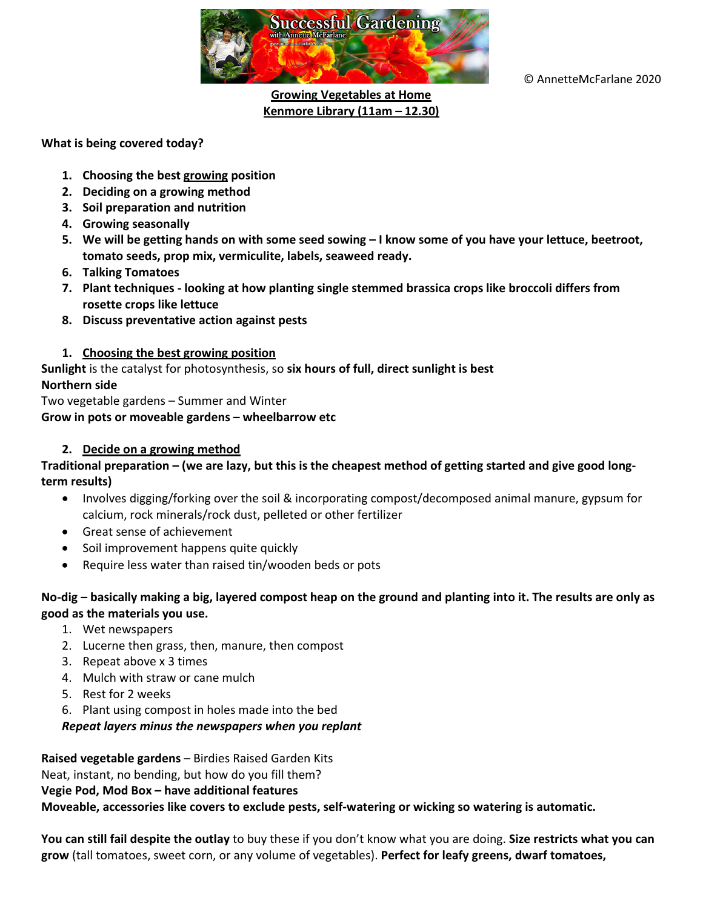

© AnnetteMcFarlane 2020

# **Growing Vegetables at Home Kenmore Library (11am – 12.30)**

### **What is being covered today?**

- **1. Choosing the best growing position**
- **2. Deciding on a growing method**
- **3. Soil preparation and nutrition**
- **4. Growing seasonally**
- **5. We will be getting hands on with some seed sowing – I know some of you have your lettuce, beetroot, tomato seeds, prop mix, vermiculite, labels, seaweed ready.**
- **6. Talking Tomatoes**
- **7. Plant techniques - looking at how planting single stemmed brassica crops like broccoli differs from rosette crops like lettuce**
- **8. Discuss preventative action against pests**

### **1. Choosing the best growing position**

**Sunlight** is the catalyst for photosynthesis, so **six hours of full, direct sunlight is best Northern side**

Two vegetable gardens – Summer and Winter **Grow in pots or moveable gardens – wheelbarrow etc**

### **2. Decide on a growing method**

### **Traditional preparation – (we are lazy, but this is the cheapest method of getting started and give good longterm results)**

- Involves digging/forking over the soil & incorporating compost/decomposed animal manure, gypsum for calcium, rock minerals/rock dust, pelleted or other fertilizer
- Great sense of achievement
- Soil improvement happens quite quickly
- Require less water than raised tin/wooden beds or pots

### **No-dig – basically making a big, layered compost heap on the ground and planting into it. The results are only as good as the materials you use.**

- 1. Wet newspapers
- 2. Lucerne then grass, then, manure, then compost
- 3. Repeat above x 3 times
- 4. Mulch with straw or cane mulch
- 5. Rest for 2 weeks
- 6. Plant using compost in holes made into the bed

### *Repeat layers minus the newspapers when you replant*

**Raised vegetable gardens** – Birdies Raised Garden Kits Neat, instant, no bending, but how do you fill them? **Vegie Pod, Mod Box – have additional features Moveable, accessories like covers to exclude pests, self-watering or wicking so watering is automatic.** 

**You can still fail despite the outlay** to buy these if you don't know what you are doing. **Size restricts what you can grow** (tall tomatoes, sweet corn, or any volume of vegetables). **Perfect for leafy greens, dwarf tomatoes,**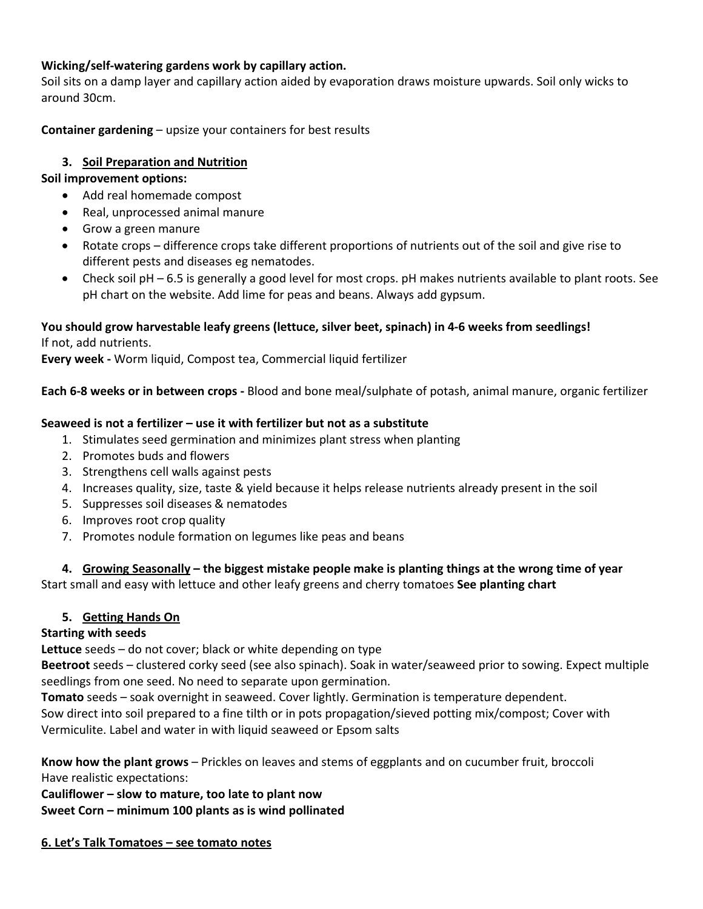# **Wicking/self-watering gardens work by capillary action.**

Soil sits on a damp layer and capillary action aided by evaporation draws moisture upwards. Soil only wicks to around 30cm.

**Container gardening** – upsize your containers for best results

# **3. Soil Preparation and Nutrition**

### **Soil improvement options:**

- Add real homemade compost
- Real, unprocessed animal manure
- Grow a green manure
- Rotate crops difference crops take different proportions of nutrients out of the soil and give rise to different pests and diseases eg nematodes.
- Check soil pH 6.5 is generally a good level for most crops. pH makes nutrients available to plant roots. See pH chart on the website. Add lime for peas and beans. Always add gypsum.

### **You should grow harvestable leafy greens (lettuce, silver beet, spinach) in 4-6 weeks from seedlings!** If not, add nutrients.

**Every week -** Worm liquid, Compost tea, Commercial liquid fertilizer

**Each 6-8 weeks or in between crops -** Blood and bone meal/sulphate of potash, animal manure, organic fertilizer

### **Seaweed is not a fertilizer – use it with fertilizer but not as a substitute**

- 1. Stimulates seed germination and minimizes plant stress when planting
- 2. Promotes buds and flowers
- 3. Strengthens cell walls against pests
- 4. Increases quality, size, taste & yield because it helps release nutrients already present in the soil
- 5. Suppresses soil diseases & nematodes
- 6. Improves root crop quality
- 7. Promotes nodule formation on legumes like peas and beans

# **4. Growing Seasonally – the biggest mistake people make is planting things at the wrong time of year**

Start small and easy with lettuce and other leafy greens and cherry tomatoes **See planting chart**

# **5. Getting Hands On**

# **Starting with seeds**

**Lettuce** seeds – do not cover; black or white depending on type

**Beetroot** seeds – clustered corky seed (see also spinach). Soak in water/seaweed prior to sowing. Expect multiple seedlings from one seed. No need to separate upon germination.

**Tomato** seeds – soak overnight in seaweed. Cover lightly. Germination is temperature dependent. Sow direct into soil prepared to a fine tilth or in pots propagation/sieved potting mix/compost; Cover with Vermiculite. Label and water in with liquid seaweed or Epsom salts

**Know how the plant grows** – Prickles on leaves and stems of eggplants and on cucumber fruit, broccoli Have realistic expectations:

**Cauliflower – slow to mature, too late to plant now Sweet Corn – minimum 100 plants as is wind pollinated**

### **6. Let's Talk Tomatoes – see tomato notes**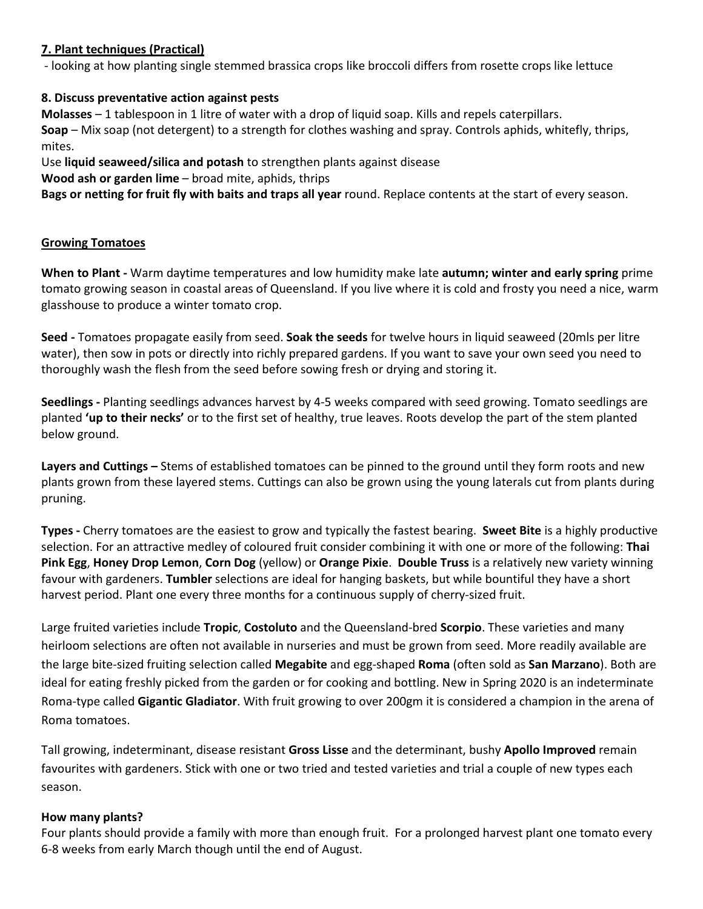# **7. Plant techniques (Practical)**

- looking at how planting single stemmed brassica crops like broccoli differs from rosette crops like lettuce

# **8. Discuss preventative action against pests**

**Molasses** – 1 tablespoon in 1 litre of water with a drop of liquid soap. Kills and repels caterpillars. **Soap** – Mix soap (not detergent) to a strength for clothes washing and spray. Controls aphids, whitefly, thrips, mites.

Use **liquid seaweed/silica and potash** to strengthen plants against disease

**Wood ash or garden lime** – broad mite, aphids, thrips

**Bags or netting for fruit fly with baits and traps all year** round. Replace contents at the start of every season.

### **Growing Tomatoes**

**When to Plant -** Warm daytime temperatures and low humidity make late **autumn; winter and early spring** prime tomato growing season in coastal areas of Queensland. If you live where it is cold and frosty you need a nice, warm glasshouse to produce a winter tomato crop.

**Seed -** Tomatoes propagate easily from seed. **Soak the seeds** for twelve hours in liquid seaweed (20mls per litre water), then sow in pots or directly into richly prepared gardens. If you want to save your own seed you need to thoroughly wash the flesh from the seed before sowing fresh or drying and storing it.

**Seedlings -** Planting seedlings advances harvest by 4-5 weeks compared with seed growing. Tomato seedlings are planted **'up to their necks'** or to the first set of healthy, true leaves. Roots develop the part of the stem planted below ground.

**Layers and Cuttings –** Stems of established tomatoes can be pinned to the ground until they form roots and new plants grown from these layered stems. Cuttings can also be grown using the young laterals cut from plants during pruning.

**Types -** Cherry tomatoes are the easiest to grow and typically the fastest bearing. **Sweet Bite** is a highly productive selection. For an attractive medley of coloured fruit consider combining it with one or more of the following: **Thai Pink Egg**, **Honey Drop Lemon**, **Corn Dog** (yellow) or **Orange Pixie**. **Double Truss** is a relatively new variety winning favour with gardeners. **Tumbler** selections are ideal for hanging baskets, but while bountiful they have a short harvest period. Plant one every three months for a continuous supply of cherry-sized fruit.

Large fruited varieties include **Tropic**, **Costoluto** and the Queensland-bred **Scorpio**. These varieties and many heirloom selections are often not available in nurseries and must be grown from seed. More readily available are the large bite-sized fruiting selection called **Megabite** and egg-shaped **Roma** (often sold as **San Marzano**). Both are ideal for eating freshly picked from the garden or for cooking and bottling. New in Spring 2020 is an indeterminate Roma-type called **Gigantic Gladiator**. With fruit growing to over 200gm it is considered a champion in the arena of Roma tomatoes.

Tall growing, indeterminant, disease resistant **Gross Lisse** and the determinant, bushy **Apollo Improved** remain favourites with gardeners. Stick with one or two tried and tested varieties and trial a couple of new types each season.

### **How many plants?**

Four plants should provide a family with more than enough fruit. For a prolonged harvest plant one tomato every 6-8 weeks from early March though until the end of August.